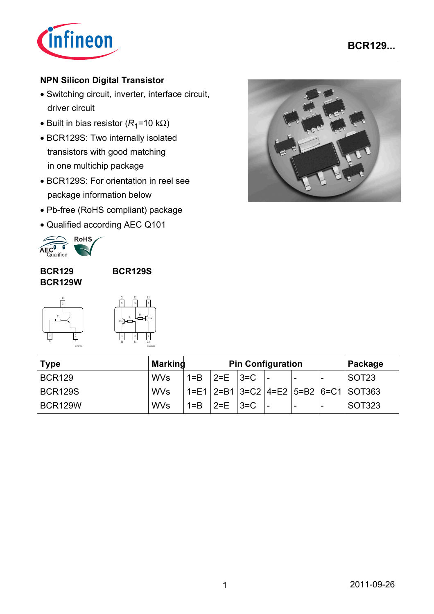

## **NPN Silicon Digital Transistor**

- Switching circuit, inverter, interface circuit, driver circuit
- Built in bias resistor  $(R_1=10 \text{ k}\Omega)$
- BCR129S: Two internally isolated transistors with good matching in one multichip package
- BCR129S: For orientation in reel see package information below
- Pb-free (RoHS compliant) package
- Qualified according AEC Q101



#### **BCR129 BCR129W**

**BCR129S**

*R*1

EHA07265





| <b>Type</b>    | <b>Marking</b> | <b>Pin Configuration</b> |                                 |  |  | Package                  |   |                                                      |
|----------------|----------------|--------------------------|---------------------------------|--|--|--------------------------|---|------------------------------------------------------|
| <b>BCR129</b>  | <b>WVs</b>     |                          | $1 = B$   $2 = E$   $3 = C$   - |  |  |                          | - | SOT <sub>23</sub>                                    |
| <b>BCR129S</b> | <b>WVs</b>     |                          |                                 |  |  |                          |   | $1 = E1$   2=B1   3=C2   4=E2   5=B2   6=C1   SOT363 |
| <b>BCR129W</b> | <b>WVs</b>     | $1 = B$                  | $ 2=E $ $ 3=C $                 |  |  | $\overline{\phantom{a}}$ | - | SOT323                                               |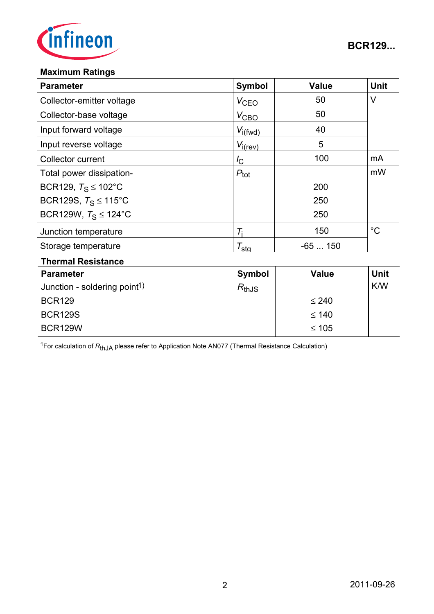

#### **Maximum Ratings**

BCR129W

| <b>Parameter</b>                         | <b>Symbol</b>       | <b>Value</b> | <b>Unit</b> |  |
|------------------------------------------|---------------------|--------------|-------------|--|
| Collector-emitter voltage                | $V_{CEQ}$           | 50           | $\vee$      |  |
| Collector-base voltage                   | $V_{\text{CBO}}$    | 50           |             |  |
| Input forward voltage                    | $V_{i(fwd)}$        | 40           |             |  |
| Input reverse voltage                    | $V_{i(rev)}$        | 5            |             |  |
| Collector current                        | $I_{\rm C}$         | 100          | mA          |  |
| Total power dissipation-                 | $P_{\text{tot}}$    |              | mW          |  |
| BCR129, $T_S \le 102^{\circ}$ C          |                     | 200          |             |  |
| BCR129S, $T_S \le 115^{\circ}$ C         |                     | 250          |             |  |
| BCR129W, $T_S \le 124$ °C                |                     | 250          |             |  |
| Junction temperature                     | $T_i$               | 150          | $^{\circ}C$ |  |
| Storage temperature                      | $\tau_{\text{sta}}$ | $-65150$     |             |  |
| <b>Thermal Resistance</b>                |                     |              |             |  |
| <b>Parameter</b>                         | <b>Symbol</b>       | <b>Value</b> | <b>Unit</b> |  |
| Junction - soldering point <sup>1)</sup> | $R_{thJS}$          |              | K/W         |  |
| <b>BCR129</b>                            |                     | $\leq 240$   |             |  |
| <b>BCR129S</b>                           |                     | $\leq 140$   |             |  |

1For calculation of *R*thJA please refer to Application Note AN077 (Thermal Resistance Calculation)

≤ 105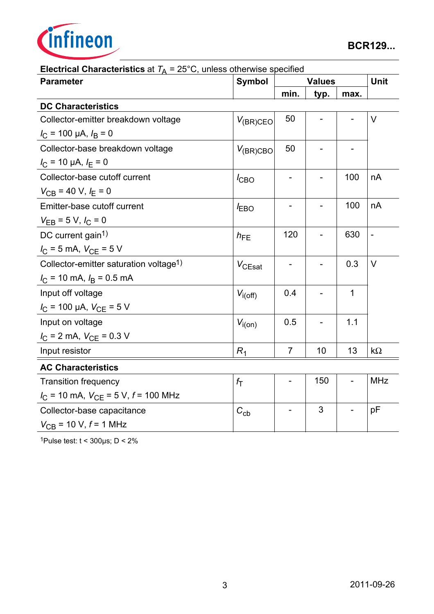

| $\frac{1}{4}$<br>Lo O, annous unionwide opeemice<br><b>Parameter</b> | <b>Symbol</b>    |                | <b>Unit</b> |      |                |
|----------------------------------------------------------------------|------------------|----------------|-------------|------|----------------|
|                                                                      |                  | min.           | typ.        | max. |                |
| <b>DC Characteristics</b>                                            |                  |                |             |      |                |
| Collector-emitter breakdown voltage                                  | $V_{(BR)CEO}$    | 50             |             |      | $\vee$         |
| $I_C$ = 100 µA, $I_B$ = 0                                            |                  |                |             |      |                |
| Collector-base breakdown voltage                                     | $V_{(BR)CBO}$    | 50             |             |      |                |
| $I_C$ = 10 µA, $I_E$ = 0                                             |                  |                |             |      |                |
| Collector-base cutoff current                                        | $I_{\text{CBO}}$ |                |             | 100  | nA             |
| $V_{CB}$ = 40 V, $I_E$ = 0                                           |                  |                |             |      |                |
| Emitter-base cutoff current                                          | $I_{EBO}$        |                |             | 100  | nA             |
| $V_{EB} = 5 V, I_C = 0$                                              |                  |                |             |      |                |
| DC current gain <sup>1)</sup>                                        | $h_{FE}$         | 120            |             | 630  | $\overline{a}$ |
| $I_C = 5$ mA, $V_{CE} = 5$ V                                         |                  |                |             |      |                |
| Collector-emitter saturation voltage <sup>1)</sup>                   | $V_{CEsat}$      |                |             | 0.3  | $\vee$         |
| $I_{\rm C}$ = 10 mA, $I_{\rm B}$ = 0.5 mA                            |                  |                |             |      |                |
| Input off voltage                                                    | $V_{i(off)}$     | 0.4            |             | 1    |                |
| $I_{\rm C}$ = 100 µA, $V_{\rm CE}$ = 5 V                             |                  |                |             |      |                |
| Input on voltage                                                     | $V_{i(0n)}$      | 0.5            |             | 1.1  |                |
| $I_{\rm C}$ = 2 mA, $V_{\rm CE}$ = 0.3 V                             |                  |                |             |      |                |
| Input resistor                                                       | $R_1$            | $\overline{7}$ | 10          | 13   | $k\Omega$      |
| <b>AC Characteristics</b>                                            |                  |                |             |      |                |
| <b>Transition frequency</b>                                          | $f_{\mathsf{T}}$ |                | 150         |      | <b>MHz</b>     |
| $I_{\text{C}}$ = 10 mA, $V_{\text{CE}}$ = 5 V, $f$ = 100 MHz         |                  |                |             |      |                |
| Collector-base capacitance                                           | $C_{cb}$         |                | 3           |      | pF             |
| $V_{\text{CB}}$ = 10 V, $f$ = 1 MHz                                  |                  |                |             |      |                |

## **Electrical Characteristics** at  $T_A = 25^{\circ}$ C, unless otherwise specified

1Pulse test:  $t < 300 \mu s$ ; D < 2%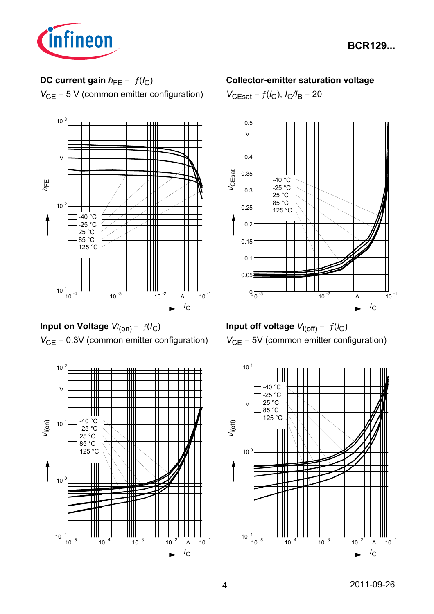

# **DC current gain**  $h_{FE} = f(l_C)$

*V*<sub>CE</sub> = 5 V (common emitter configuration)



**Input on Voltage** *Vi* (on) = ƒ(*I*C) *V*<sub>CE</sub> = 0.3V (common emitter configuration)



## **Collector-emitter saturation voltage**

 $V_{\text{CEsat}} = f(I_{\text{C}}), I_{\text{C}}/I_{\text{B}} = 20$ 



**Input off voltage**  $V_{i(off)} = f(I_C)$ *V*<sub>CE</sub> = 5V (common emitter configuration)

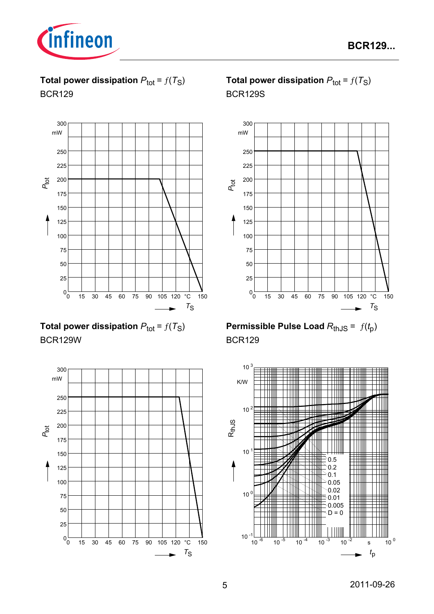

**Total power dissipation**  $P_{\text{tot}} = f(T_S)$ BCR129



**Total power dissipation**  $P_{\text{tot}} = f(T_S)$ BCR129W



# **Total power dissipation**  $P_{\text{tot}} = f(T_S)$ BCR129S



**Permissible Pulse Load**  $R_{th,JS} = f(t_p)$ BCR129

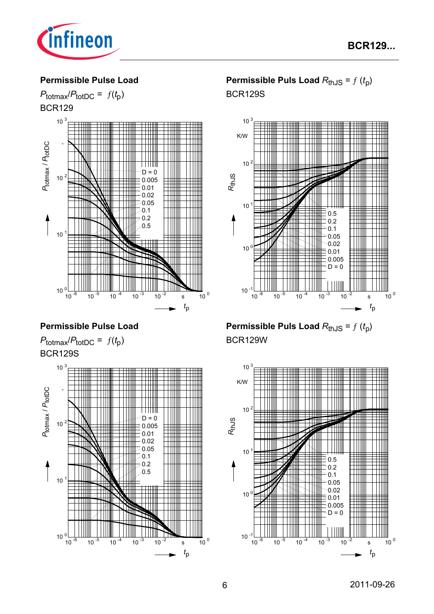

#### **Permissible Pulse Load**



## **Permissible Pulse Load**





## **Permissible Puls Load**  $R_{thJS} = f(t_p)$ BCR129S



**Permissible Puls Load**  $R_{thJS} = f(t_p)$ BCR129W

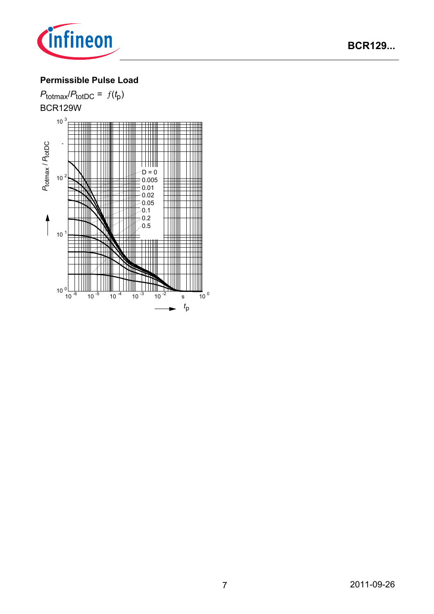

## **Permissible Pulse Load**

 $P_{\text{totmax}}/P_{\text{totDC}} = f(t_p)$ BCR129W  $10^{3}$ *P*totDC - *P*totmax /  $D = 0$  $10<sup>2</sup>$ 0.005 0.01 0.02 0.05  $0.1$ 0.2 0.5 $\vert$  $10<sup>1</sup>$ łШ  $10^{0}$ <br> $10^{1}$  $10^{-6}$   $10^{-5}$   $10^{-4}$   $10^{-3}$   $10^{-2}$  s  $10^{0}$ *t*p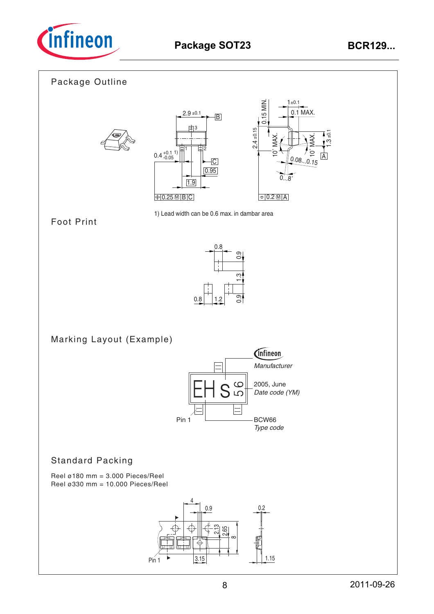

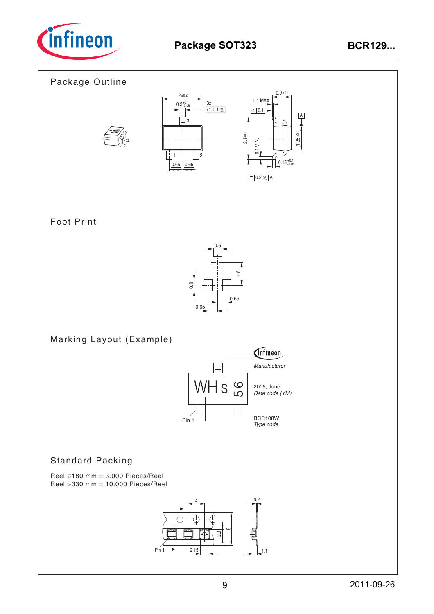

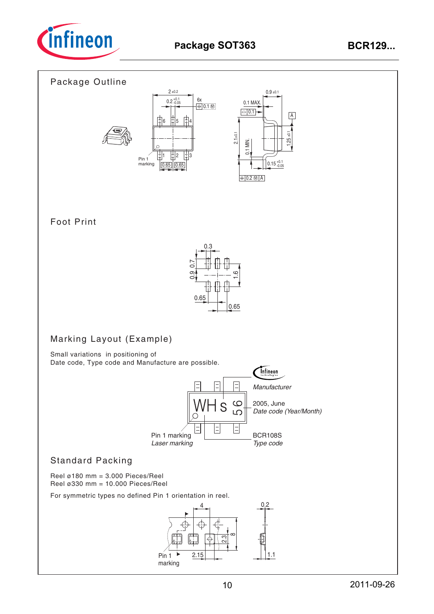